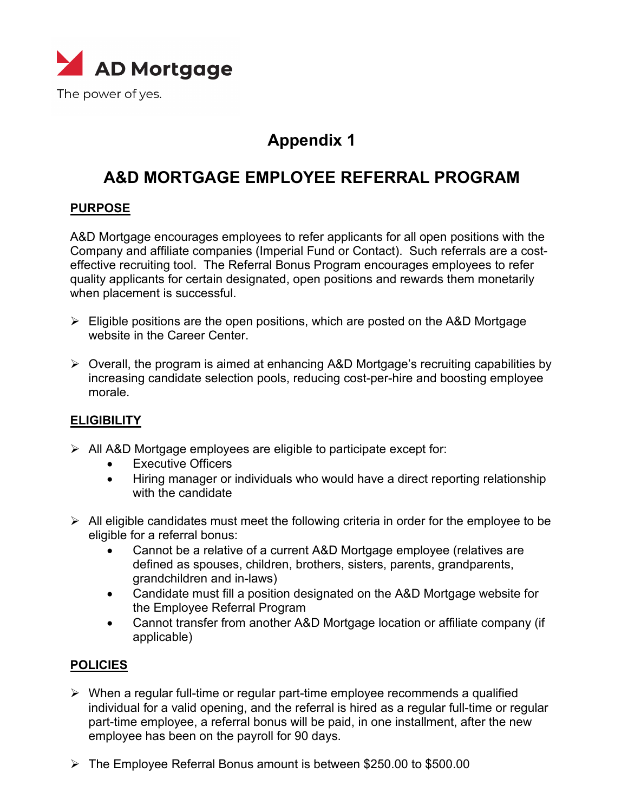

# **Appendix 1**

# **A&D MORTGAGE EMPLOYEE REFERRAL PROGRAM**

### **PURPOSE**

A&D Mortgage encourages employees to refer applicants for all open positions with the Company and affiliate companies (Imperial Fund or Contact). Such referrals are a costeffective recruiting tool. The Referral Bonus Program encourages employees to refer quality applicants for certain designated, open positions and rewards them monetarily when placement is successful.

- $\triangleright$  Eligible positions are the open positions, which are posted on the A&D Mortgage website in the Career Center.
- $\triangleright$  Overall, the program is aimed at enhancing A&D Mortgage's recruiting capabilities by increasing candidate selection pools, reducing cost-per-hire and boosting employee morale.

### **ELIGIBILITY**

- $\triangleright$  All A&D Mortgage employees are eligible to participate except for:
	- **Executive Officers**
	- Hiring manager or individuals who would have a direct reporting relationship with the candidate
- $\triangleright$  All eligible candidates must meet the following criteria in order for the employee to be eligible for a referral bonus:
	- Cannot be a relative of a current A&D Mortgage employee (relatives are defined as spouses, children, brothers, sisters, parents, grandparents, grandchildren and in-laws)
	- Candidate must fill a position designated on the A&D Mortgage website for the Employee Referral Program
	- Cannot transfer from another A&D Mortgage location or affiliate company (if applicable)

#### **POLICIES**

- $\triangleright$  When a regular full-time or regular part-time employee recommends a qualified individual for a valid opening, and the referral is hired as a regular full-time or regular part-time employee, a referral bonus will be paid, in one installment, after the new employee has been on the payroll for 90 days.
- $\triangleright$  The Employee Referral Bonus amount is between \$250.00 to \$500.00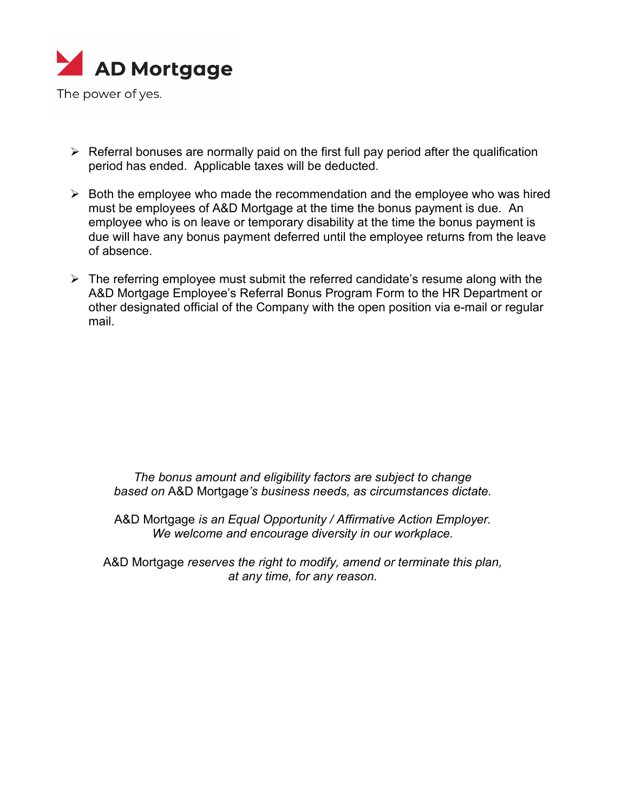

The power of yes.

- $\triangleright$  Referral bonuses are normally paid on the first full pay period after the qualification period has ended. Applicable taxes will be deducted.
- $\triangleright$  Both the employee who made the recommendation and the employee who was hired must be employees of A&D Mortgage at the time the bonus payment is due. An employee who is on leave or temporary disability at the time the bonus payment is due will have any bonus payment deferred until the employee returns from the leave of absence.
- $\triangleright$  The referring employee must submit the referred candidate's resume along with the A&D Mortgage Employee's Referral Bonus Program Form to the HR Department or other designated official of the Company with the open position via e-mail or regular mail.

*The bonus amount and eligibility factors are subject to change based on* A&D Mortgage*'s business needs, as circumstances dictate.*

A&D Mortgage *is an Equal Opportunity / Affirmative Action Employer. We welcome and encourage diversity in our workplace.*

A&D Mortgage *reserves the right to modify, amend or terminate this plan, at any time, for any reason.*